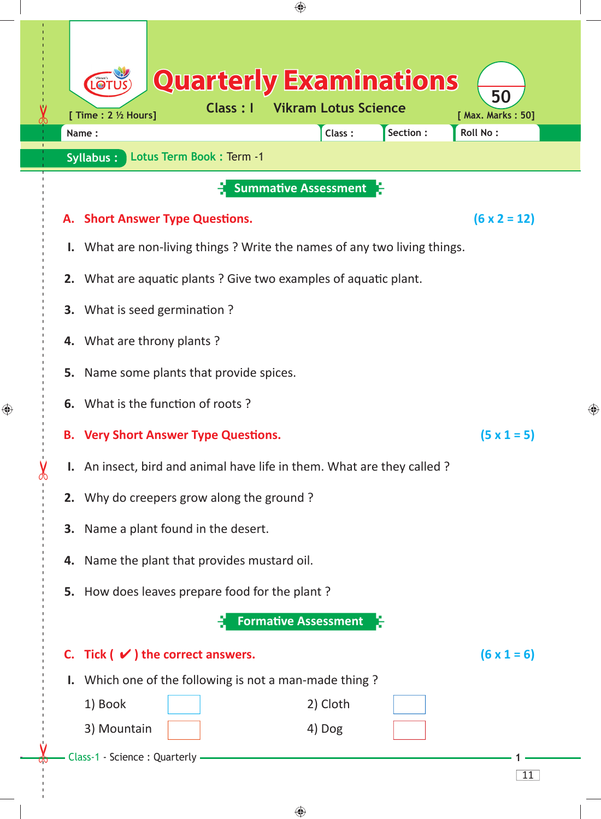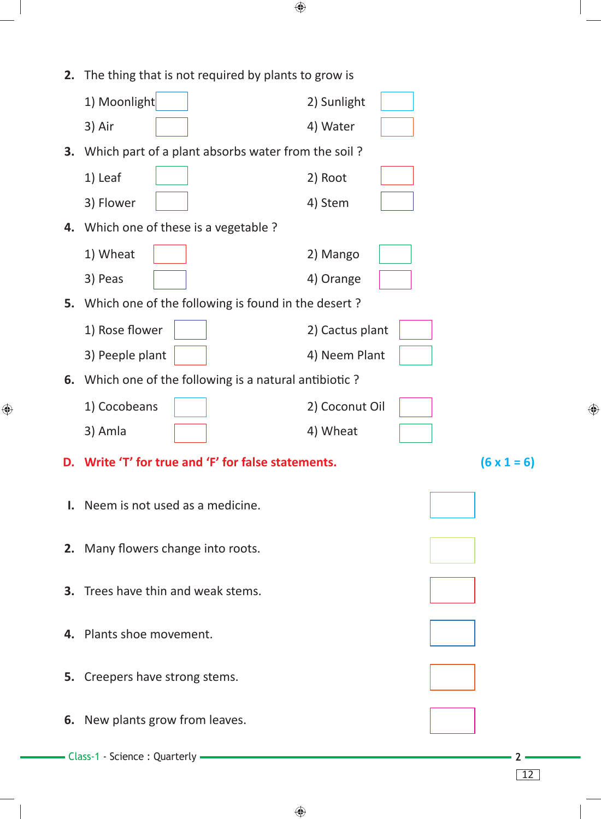| 2. | The thing that is not required by plants to grow is          |                 |                    |   |
|----|--------------------------------------------------------------|-----------------|--------------------|---|
|    | 1) Moonlight                                                 | 2) Sunlight     |                    |   |
|    | 3) Air                                                       | 4) Water        |                    |   |
|    | <b>3.</b> Which part of a plant absorbs water from the soil? |                 |                    |   |
|    | 1) Leaf                                                      | 2) Root         |                    |   |
|    | 3) Flower                                                    | 4) Stem         |                    |   |
|    | 4. Which one of these is a vegetable ?                       |                 |                    |   |
|    | 1) Wheat                                                     | 2) Mango        |                    |   |
|    | 3) Peas                                                      | 4) Orange       |                    |   |
|    | 5. Which one of the following is found in the desert?        |                 |                    |   |
|    | 1) Rose flower                                               | 2) Cactus plant |                    |   |
|    | 3) Peeple plant                                              | 4) Neem Plant   |                    |   |
|    | 6. Which one of the following is a natural antibiotic?       |                 |                    |   |
|    | 1) Cocobeans                                                 | 2) Coconut Oil  |                    | ⊕ |
|    | 3) Amla                                                      | 4) Wheat        |                    |   |
| D. | Write 'T' for true and 'F' for false statements.             |                 | $(6 \times 1 = 6)$ |   |
|    | Neem is not used as a medicine.                              |                 |                    |   |
|    |                                                              |                 |                    |   |
|    | 2. Many flowers change into roots.                           |                 |                    |   |
|    | <b>3.</b> Trees have thin and weak stems.                    |                 |                    |   |
|    |                                                              |                 |                    |   |
| 4. | Plants shoe movement.                                        |                 |                    |   |
|    | 5. Creepers have strong stems.                               |                 |                    |   |
|    | 6. New plants grow from leaves.                              |                 |                    |   |
|    |                                                              |                 |                    |   |
|    | Class-1 - Science : Quarterly -                              |                 |                    |   |

 $\bigoplus$ 

12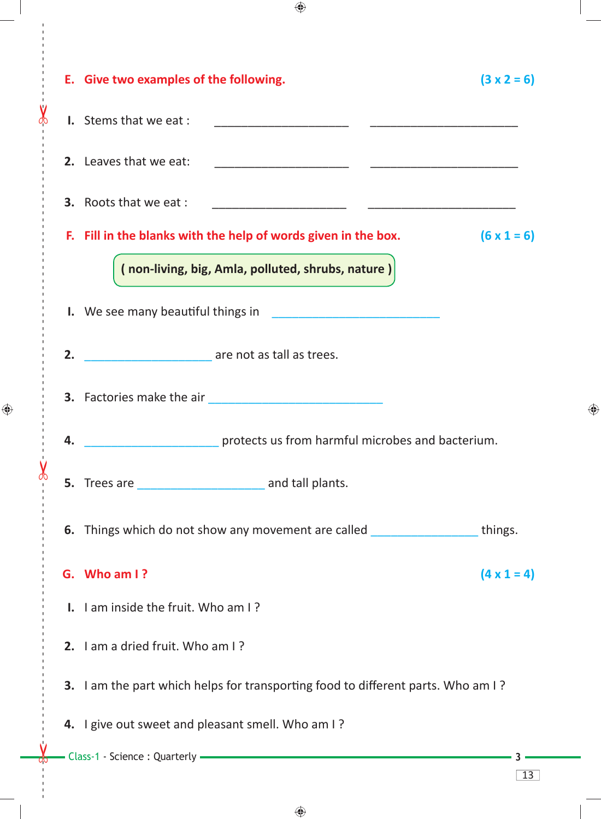|   |    | E. Give two examples of the following.                                                                                                                                                                                                                                                                                 | $(3 \times 2 = 6)$ |  |  |
|---|----|------------------------------------------------------------------------------------------------------------------------------------------------------------------------------------------------------------------------------------------------------------------------------------------------------------------------|--------------------|--|--|
|   |    | I. Stems that we eat :<br><u> 1980 - Jan James, martin amerikan personal (</u><br><u> 1989 - Johann Harry Harry Harry Harry Harry Harry Harry Harry Harry Harry Harry Harry Harry Harry Harry Harry Harry Harry Harry Harry Harry Harry Harry Harry Harry Harry Harry Harry Harry Harry Harry Harry Harry Harry Ha</u> |                    |  |  |
|   |    | 2. Leaves that we eat:                                                                                                                                                                                                                                                                                                 |                    |  |  |
|   |    | <b>3.</b> Roots that we eat :                                                                                                                                                                                                                                                                                          |                    |  |  |
|   |    | F. Fill in the blanks with the help of words given in the box.                                                                                                                                                                                                                                                         | $(6 \times 1 = 6)$ |  |  |
|   |    | (non-living, big, Amla, polluted, shrubs, nature)                                                                                                                                                                                                                                                                      |                    |  |  |
|   |    |                                                                                                                                                                                                                                                                                                                        |                    |  |  |
|   | 2. | are not as tall as trees.                                                                                                                                                                                                                                                                                              |                    |  |  |
|   |    | 3. Factories make the air<br><u>Internal and the set of the set of the set of the set of the set of the set of the set of the set of the set of the set of the set of the set of the set of the set of the set of the set of the s</u>                                                                                 |                    |  |  |
|   | 4. | protects us from harmful microbes and bacterium.                                                                                                                                                                                                                                                                       |                    |  |  |
| X |    |                                                                                                                                                                                                                                                                                                                        |                    |  |  |
|   |    | 6. Things which do not show any movement are called ____________________________                                                                                                                                                                                                                                       | things.            |  |  |
|   |    | G. Who am I?                                                                                                                                                                                                                                                                                                           | $(4 \times 1 = 4)$ |  |  |
|   |    | <b>I.</b> I am inside the fruit. Who am I?                                                                                                                                                                                                                                                                             |                    |  |  |
|   |    | 2. I am a dried fruit. Who am I?                                                                                                                                                                                                                                                                                       |                    |  |  |
|   |    | 3. I am the part which helps for transporting food to different parts. Who am I?                                                                                                                                                                                                                                       |                    |  |  |
|   |    | 4. I give out sweet and pleasant smell. Who am I?                                                                                                                                                                                                                                                                      |                    |  |  |
|   |    | Class-1 - Science : Quarterly - The Class of the Class-1 - Science : Quarterly - The Class of the Class of the Class of the Class of the Class of the Class of the Class of the Class of the Class of the Class of the Class o                                                                                         | 13                 |  |  |

 $\bigoplus$ 

 $\chi$ 

 $\bigoplus$